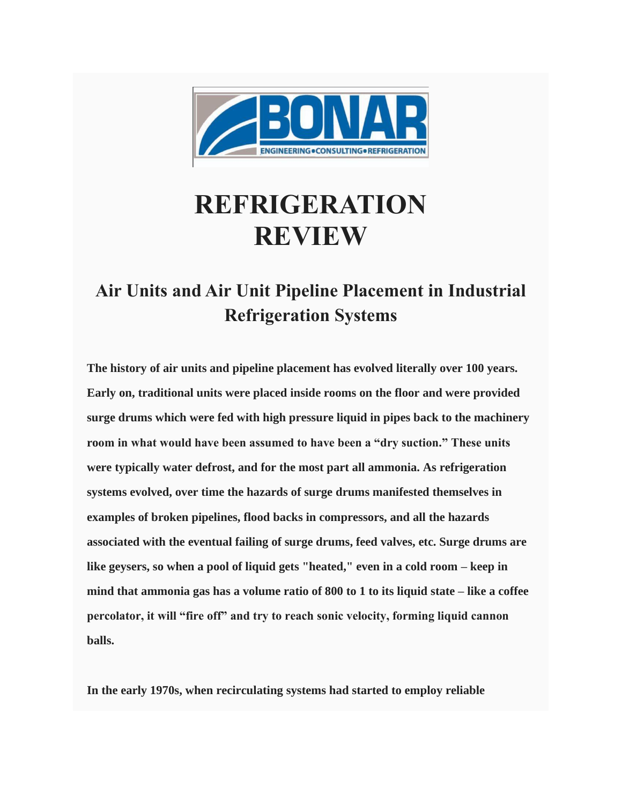

## **REFRIGERATION REVIEW**

## **Air Units and Air Unit Pipeline Placement in Industrial Refrigeration Systems**

**The history of air units and pipeline placement has evolved literally over 100 years. Early on, traditional units were placed inside rooms on the floor and were provided surge drums which were fed with high pressure liquid in pipes back to the machinery room in what would have been assumed to have been a "dry suction." These units were typically water defrost, and for the most part all ammonia. As refrigeration systems evolved, over time the hazards of surge drums manifested themselves in examples of broken pipelines, flood backs in compressors, and all the hazards associated with the eventual failing of surge drums, feed valves, etc. Surge drums are like geysers, so when a pool of liquid gets "heated," even in a cold room – keep in mind that ammonia gas has a volume ratio of 800 to 1 to its liquid state – like a coffee percolator, it will "fire off" and try to reach sonic velocity, forming liquid cannon balls.**

**In the early 1970s, when recirculating systems had started to employ reliable**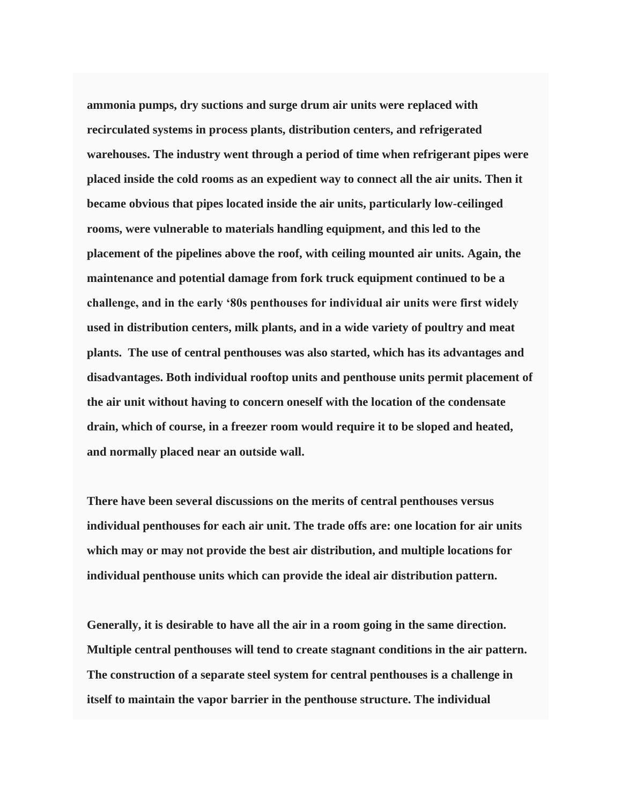**ammonia pumps, dry suctions and surge drum air units were replaced with recirculated systems in process plants, distribution centers, and refrigerated warehouses. The industry went through a period of time when refrigerant pipes were placed inside the cold rooms as an expedient way to connect all the air units. Then it became obvious that pipes located inside the air units, particularly low-ceilinged rooms, were vulnerable to materials handling equipment, and this led to the placement of the pipelines above the roof, with ceiling mounted air units. Again, the maintenance and potential damage from fork truck equipment continued to be a challenge, and in the early '80s penthouses for individual air units were first widely used in distribution centers, milk plants, and in a wide variety of poultry and meat plants. The use of central penthouses was also started, which has its advantages and disadvantages. Both individual rooftop units and penthouse units permit placement of the air unit without having to concern oneself with the location of the condensate drain, which of course, in a freezer room would require it to be sloped and heated, and normally placed near an outside wall.**

**There have been several discussions on the merits of central penthouses versus individual penthouses for each air unit. The trade offs are: one location for air units which may or may not provide the best air distribution, and multiple locations for individual penthouse units which can provide the ideal air distribution pattern.**

**Generally, it is desirable to have all the air in a room going in the same direction. Multiple central penthouses will tend to create stagnant conditions in the air pattern. The construction of a separate steel system for central penthouses is a challenge in itself to maintain the vapor barrier in the penthouse structure. The individual**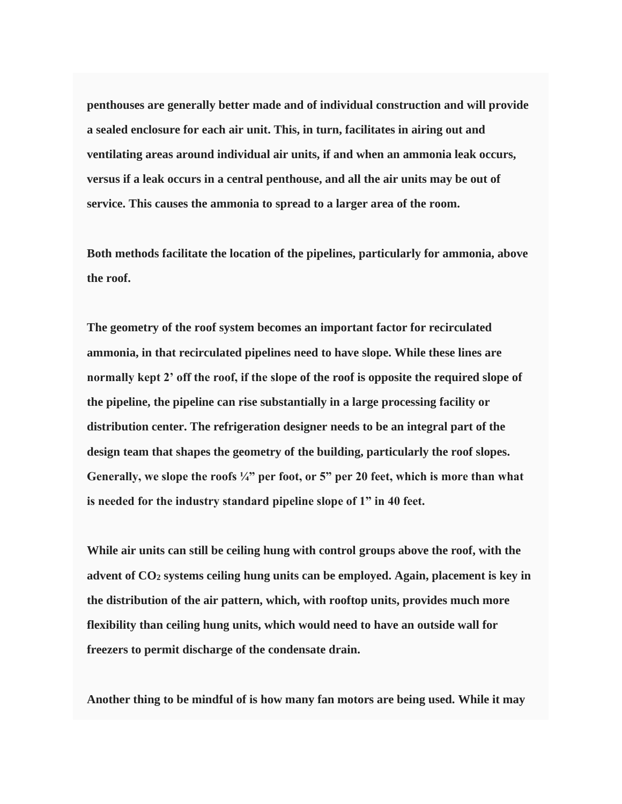**penthouses are generally better made and of individual construction and will provide a sealed enclosure for each air unit. This, in turn, facilitates in airing out and ventilating areas around individual air units, if and when an ammonia leak occurs, versus if a leak occurs in a central penthouse, and all the air units may be out of service. This causes the ammonia to spread to a larger area of the room.**

**Both methods facilitate the location of the pipelines, particularly for ammonia, above the roof.**

**The geometry of the roof system becomes an important factor for recirculated ammonia, in that recirculated pipelines need to have slope. While these lines are normally kept 2' off the roof, if the slope of the roof is opposite the required slope of the pipeline, the pipeline can rise substantially in a large processing facility or distribution center. The refrigeration designer needs to be an integral part of the design team that shapes the geometry of the building, particularly the roof slopes.**  Generally, we slope the roofs  $\frac{1}{4}$  per foot, or 5" per 20 feet, which is more than what **is needed for the industry standard pipeline slope of 1" in 40 feet.**

**While air units can still be ceiling hung with control groups above the roof, with the advent of CO<sup>2</sup> systems ceiling hung units can be employed. Again, placement is key in the distribution of the air pattern, which, with rooftop units, provides much more flexibility than ceiling hung units, which would need to have an outside wall for freezers to permit discharge of the condensate drain.**

**Another thing to be mindful of is how many fan motors are being used. While it may**